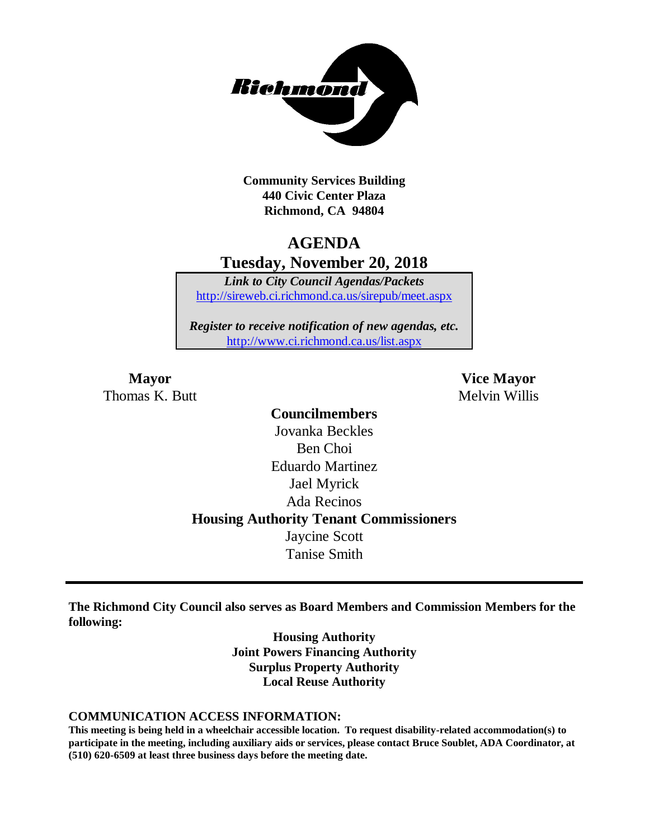

**Community Services Building 440 Civic Center Plaza Richmond, CA 94804**

### **AGENDA Tuesday, November 20, 2018**

*Link to City Council Agendas/Packets* <http://sireweb.ci.richmond.ca.us/sirepub/meet.aspx>

*Register to receive notification of new agendas, etc.* <http://www.ci.richmond.ca.us/list.aspx>

Thomas K. Butt Melvin Willis

**Mayor Vice Mayor**

**Councilmembers** Jovanka Beckles Ben Choi Eduardo Martinez Jael Myrick Ada Recinos **Housing Authority Tenant Commissioners** Jaycine Scott Tanise Smith

**The Richmond City Council also serves as Board Members and Commission Members for the following:**

> **Housing Authority Joint Powers Financing Authority Surplus Property Authority Local Reuse Authority**

#### **COMMUNICATION ACCESS INFORMATION:**

**This meeting is being held in a wheelchair accessible location. To request disability-related accommodation(s) to participate in the meeting, including auxiliary aids or services, please contact Bruce Soublet, ADA Coordinator, at (510) 620-6509 at least three business days before the meeting date.**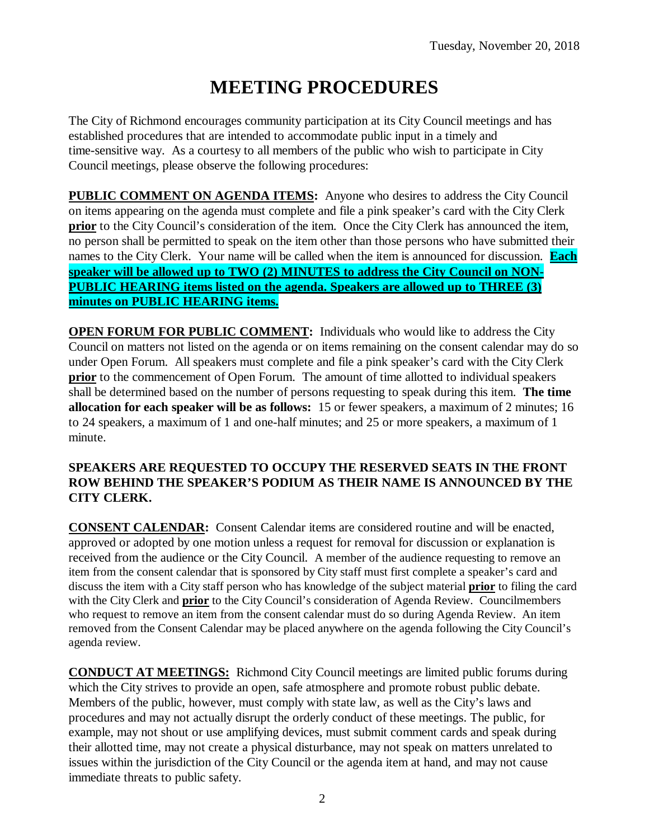# **MEETING PROCEDURES**

The City of Richmond encourages community participation at its City Council meetings and has established procedures that are intended to accommodate public input in a timely and time-sensitive way. As a courtesy to all members of the public who wish to participate in City Council meetings, please observe the following procedures:

**PUBLIC COMMENT ON AGENDA ITEMS:** Anyone who desires to address the City Council on items appearing on the agenda must complete and file a pink speaker's card with the City Clerk **prior** to the City Council's consideration of the item. Once the City Clerk has announced the item, no person shall be permitted to speak on the item other than those persons who have submitted their names to the City Clerk. Your name will be called when the item is announced for discussion. **Each speaker will be allowed up to TWO (2) MINUTES to address the City Council on NON-PUBLIC HEARING items listed on the agenda. Speakers are allowed up to THREE (3) minutes on PUBLIC HEARING items.**

**OPEN FORUM FOR PUBLIC COMMENT:** Individuals who would like to address the City Council on matters not listed on the agenda or on items remaining on the consent calendar may do so under Open Forum. All speakers must complete and file a pink speaker's card with the City Clerk **prior** to the commencement of Open Forum. The amount of time allotted to individual speakers shall be determined based on the number of persons requesting to speak during this item. **The time allocation for each speaker will be as follows:** 15 or fewer speakers, a maximum of 2 minutes; 16 to 24 speakers, a maximum of 1 and one-half minutes; and 25 or more speakers, a maximum of 1 minute.

#### **SPEAKERS ARE REQUESTED TO OCCUPY THE RESERVED SEATS IN THE FRONT ROW BEHIND THE SPEAKER'S PODIUM AS THEIR NAME IS ANNOUNCED BY THE CITY CLERK.**

**CONSENT CALENDAR:** Consent Calendar items are considered routine and will be enacted, approved or adopted by one motion unless a request for removal for discussion or explanation is received from the audience or the City Council. A member of the audience requesting to remove an item from the consent calendar that is sponsored by City staff must first complete a speaker's card and discuss the item with a City staff person who has knowledge of the subject material **prior** to filing the card with the City Clerk and **prior** to the City Council's consideration of Agenda Review. Councilmembers who request to remove an item from the consent calendar must do so during Agenda Review. An item removed from the Consent Calendar may be placed anywhere on the agenda following the City Council's agenda review.

**CONDUCT AT MEETINGS:** Richmond City Council meetings are limited public forums during which the City strives to provide an open, safe atmosphere and promote robust public debate. Members of the public, however, must comply with state law, as well as the City's laws and procedures and may not actually disrupt the orderly conduct of these meetings. The public, for example, may not shout or use amplifying devices, must submit comment cards and speak during their allotted time, may not create a physical disturbance, may not speak on matters unrelated to issues within the jurisdiction of the City Council or the agenda item at hand, and may not cause immediate threats to public safety.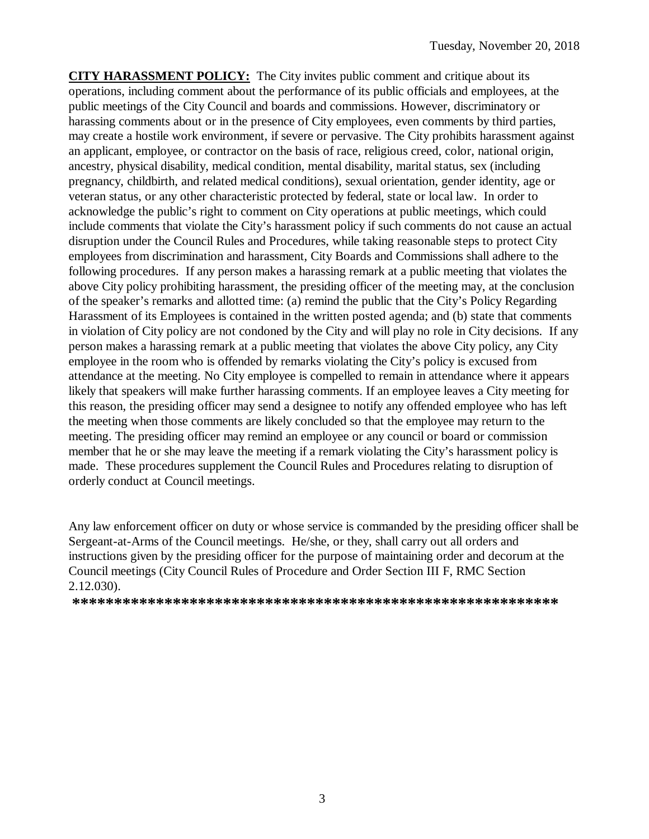**CITY HARASSMENT POLICY:** The City invites public comment and critique about its operations, including comment about the performance of its public officials and employees, at the public meetings of the City Council and boards and commissions. However, discriminatory or harassing comments about or in the presence of City employees, even comments by third parties, may create a hostile work environment, if severe or pervasive. The City prohibits harassment against an applicant, employee, or contractor on the basis of race, religious creed, color, national origin, ancestry, physical disability, medical condition, mental disability, marital status, sex (including pregnancy, childbirth, and related medical conditions), sexual orientation, gender identity, age or veteran status, or any other characteristic protected by federal, state or local law. In order to acknowledge the public's right to comment on City operations at public meetings, which could include comments that violate the City's harassment policy if such comments do not cause an actual disruption under the Council Rules and Procedures, while taking reasonable steps to protect City employees from discrimination and harassment, City Boards and Commissions shall adhere to the following procedures. If any person makes a harassing remark at a public meeting that violates the above City policy prohibiting harassment, the presiding officer of the meeting may, at the conclusion of the speaker's remarks and allotted time: (a) remind the public that the City's Policy Regarding Harassment of its Employees is contained in the written posted agenda; and (b) state that comments in violation of City policy are not condoned by the City and will play no role in City decisions. If any person makes a harassing remark at a public meeting that violates the above City policy, any City employee in the room who is offended by remarks violating the City's policy is excused from attendance at the meeting. No City employee is compelled to remain in attendance where it appears likely that speakers will make further harassing comments. If an employee leaves a City meeting for this reason, the presiding officer may send a designee to notify any offended employee who has left the meeting when those comments are likely concluded so that the employee may return to the meeting. The presiding officer may remind an employee or any council or board or commission member that he or she may leave the meeting if a remark violating the City's harassment policy is made. These procedures supplement the Council Rules and Procedures relating to disruption of orderly conduct at Council meetings.

Any law enforcement officer on duty or whose service is commanded by the presiding officer shall be Sergeant-at-Arms of the Council meetings. He/she, or they, shall carry out all orders and instructions given by the presiding officer for the purpose of maintaining order and decorum at the Council meetings (City Council Rules of Procedure and Order Section III F, RMC Section 2.12.030).

**\*\*\*\*\*\*\*\*\*\*\*\*\*\*\*\*\*\*\*\*\*\*\*\*\*\*\*\*\*\*\*\*\*\*\*\*\*\*\*\*\*\*\*\*\*\*\*\*\*\*\*\*\*\*\*\*\*\***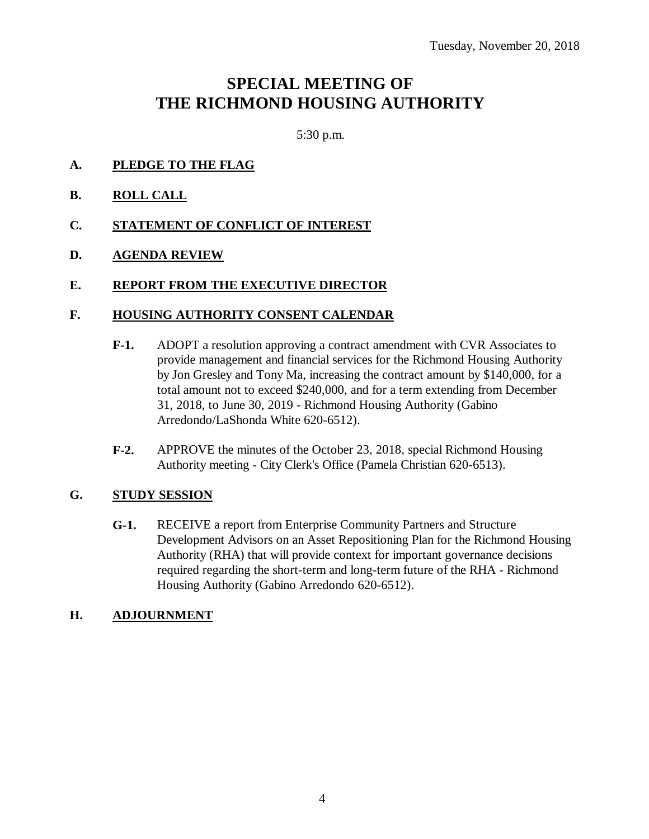## **SPECIAL MEETING OF THE RICHMOND HOUSING AUTHORITY**

5:30 p.m.

- **A. PLEDGE TO THE FLAG**
- **B. ROLL CALL**
- **C. STATEMENT OF CONFLICT OF INTEREST**

### **D. AGENDA REVIEW**

#### **E. REPORT FROM THE EXECUTIVE DIRECTOR**

#### **F. HOUSING AUTHORITY CONSENT CALENDAR**

- **F-1.** ADOPT a resolution approving a contract amendment with CVR Associates to provide management and financial services for the Richmond Housing Authority by Jon Gresley and Tony Ma, increasing the contract amount by \$140,000, for a total amount not to exceed \$240,000, and for a term extending from December 31, 2018, to June 30, 2019 - Richmond Housing Authority (Gabino Arredondo/LaShonda White 620-6512).
- **F-2.** APPROVE the minutes of the October 23, 2018, special Richmond Housing Authority meeting - City Clerk's Office (Pamela Christian 620-6513).

#### **G. STUDY SESSION**

**G-1.** RECEIVE a report from Enterprise Community Partners and Structure Development Advisors on an Asset Repositioning Plan for the Richmond Housing Authority (RHA) that will provide context for important governance decisions required regarding the short-term and long-term future of the RHA - Richmond Housing Authority (Gabino Arredondo 620-6512).

#### **H. ADJOURNMENT**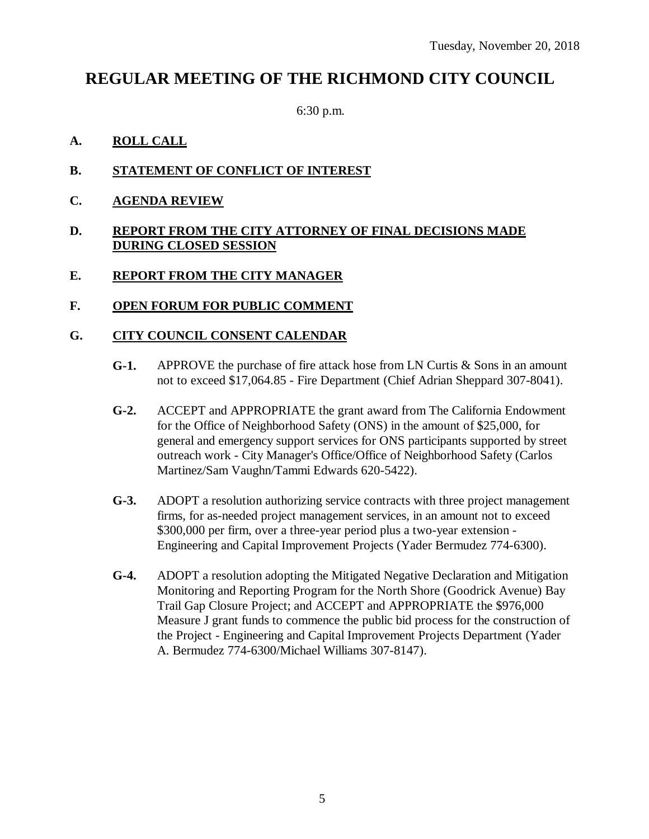### **REGULAR MEETING OF THE RICHMOND CITY COUNCIL**

6:30 p.m.

### **A. ROLL CALL**

- **B. STATEMENT OF CONFLICT OF INTEREST**
- **C. AGENDA REVIEW**

#### **D. REPORT FROM THE CITY ATTORNEY OF FINAL DECISIONS MADE DURING CLOSED SESSION**

#### **E. REPORT FROM THE CITY MANAGER**

#### **F. OPEN FORUM FOR PUBLIC COMMENT**

#### **G. CITY COUNCIL CONSENT CALENDAR**

- **G-1.** APPROVE the purchase of fire attack hose from LN Curtis & Sons in an amount not to exceed \$17,064.85 - Fire Department (Chief Adrian Sheppard 307-8041).
- **G-2.** ACCEPT and APPROPRIATE the grant award from The California Endowment for the Office of Neighborhood Safety (ONS) in the amount of \$25,000, for general and emergency support services for ONS participants supported by street outreach work - City Manager's Office/Office of Neighborhood Safety (Carlos Martinez/Sam Vaughn/Tammi Edwards 620-5422).
- **G-3.** ADOPT a resolution authorizing service contracts with three project management firms, for as-needed project management services, in an amount not to exceed \$300,000 per firm, over a three-year period plus a two-year extension - Engineering and Capital Improvement Projects (Yader Bermudez 774-6300).
- **G-4.** ADOPT a resolution adopting the Mitigated Negative Declaration and Mitigation Monitoring and Reporting Program for the North Shore (Goodrick Avenue) Bay Trail Gap Closure Project; and ACCEPT and APPROPRIATE the \$976,000 Measure J grant funds to commence the public bid process for the construction of the Project - Engineering and Capital Improvement Projects Department (Yader A. Bermudez 774-6300/Michael Williams 307-8147).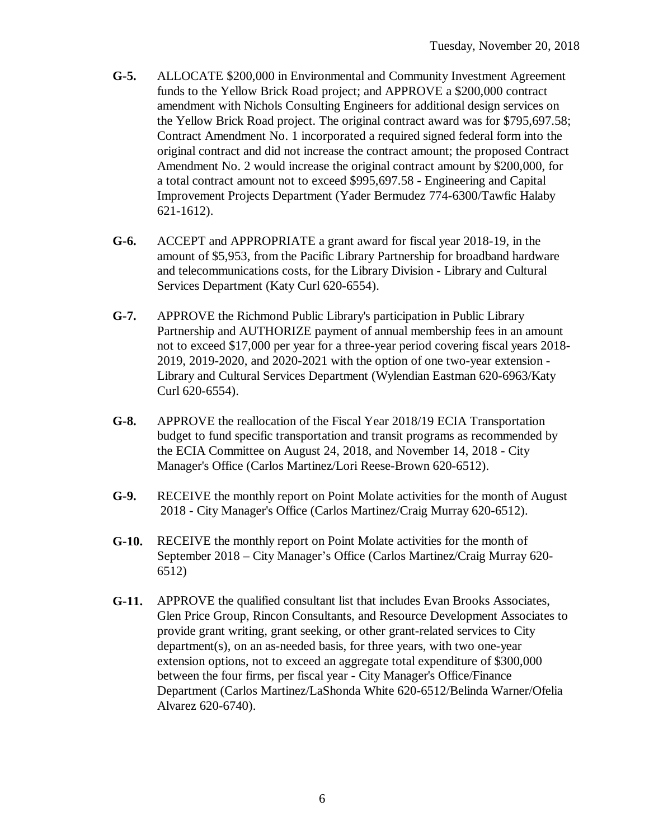- **G-5.** ALLOCATE \$200,000 in Environmental and Community Investment Agreement funds to the Yellow Brick Road project; and APPROVE a \$200,000 contract amendment with Nichols Consulting Engineers for additional design services on the Yellow Brick Road project. The original contract award was for \$795,697.58; Contract Amendment No. 1 incorporated a required signed federal form into the original contract and did not increase the contract amount; the proposed Contract Amendment No. 2 would increase the original contract amount by \$200,000, for a total contract amount not to exceed \$995,697.58 - Engineering and Capital Improvement Projects Department (Yader Bermudez 774-6300/Tawfic Halaby 621-1612).
- **G-6.** ACCEPT and APPROPRIATE a grant award for fiscal year 2018-19, in the amount of \$5,953, from the Pacific Library Partnership for broadband hardware and telecommunications costs, for the Library Division - Library and Cultural Services Department (Katy Curl 620-6554).
- **G-7.** APPROVE the Richmond Public Library's participation in Public Library Partnership and AUTHORIZE payment of annual membership fees in an amount not to exceed \$17,000 per year for a three-year period covering fiscal years 2018- 2019, 2019-2020, and 2020-2021 with the option of one two-year extension - Library and Cultural Services Department (Wylendian Eastman 620-6963/Katy Curl 620-6554).
- **G-8.** APPROVE the reallocation of the Fiscal Year 2018/19 ECIA Transportation budget to fund specific transportation and transit programs as recommended by the ECIA Committee on August 24, 2018, and November 14, 2018 - City Manager's Office (Carlos Martinez/Lori Reese-Brown 620-6512).
- **G-9.** RECEIVE the monthly report on Point Molate activities for the month of August 2018 - City Manager's Office (Carlos Martinez/Craig Murray 620-6512).
- **G-10.** RECEIVE the monthly report on Point Molate activities for the month of September 2018 – City Manager's Office (Carlos Martinez/Craig Murray 620- 6512)
- **G-11.** APPROVE the qualified consultant list that includes Evan Brooks Associates, Glen Price Group, Rincon Consultants, and Resource Development Associates to provide grant writing, grant seeking, or other grant-related services to City department(s), on an as-needed basis, for three years, with two one-year extension options, not to exceed an aggregate total expenditure of \$300,000 between the four firms, per fiscal year - City Manager's Office/Finance Department (Carlos Martinez/LaShonda White 620-6512/Belinda Warner/Ofelia Alvarez 620-6740).